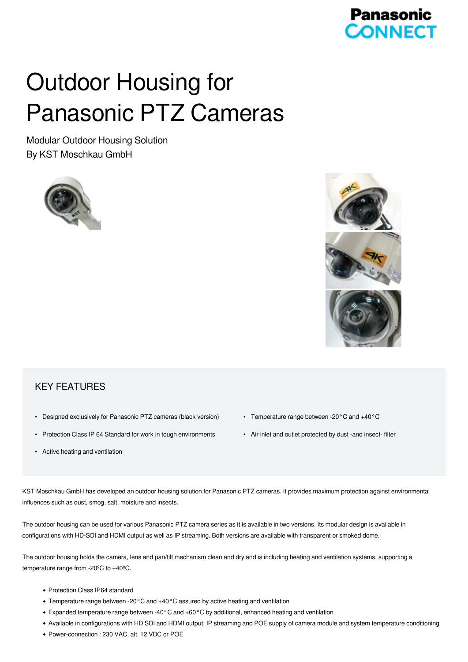## **Panasonic CONNECT**

# Outdoor Housing for Panasonic PTZ Cameras

Modular Outdoor Housing Solution By KST Moschkau GmbH



### KEY FEATURES

- Designed exclusively for Panasonic PTZ cameras (black version)
- Protection Class IP 64 Standard for work in tough environments
- Active heating and ventilation
- Temperature range between -20°C and +40°C
- Air inlet and outlet protected by dust -and insect- filter

KST Moschkau GmbH has developed an outdoor housing solution for Panasonic PTZ cameras. It provides maximum protection against environmental influences such as dust, smog, salt, moisture and insects.

The outdoor housing can be used for various Panasonic PTZ camera series as it is available in two versions. Its modular design is available in configurations with HD-SDI and HDMI output as well as IP streaming. Both versions are available with transparent or smoked dome.

The outdoor housing holds the camera, lens and pan/tilt mechanism clean and dry and is including heating and ventilation systems, supporting a temperature range from -20ºC to +40ºC.

- Protection Class IP64 standard
- Temperature range between -20°C and +40°C assured by active heating and ventilation
- Expanded temperature range between -40°C and +60°C by additional, enhanced heating and ventilation
- Available in configurations with HD SDI and HDMI output, IP streaming and POE supply of camera module and system temperature conditioning
- Power-connection : 230 VAC, alt. 12 VDC or POE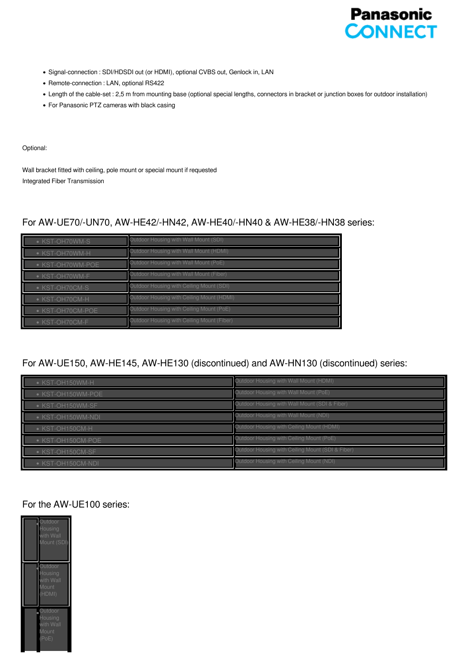

- Signal-connection : SDI/HDSDI out (or HDMI), optional CVBS out, Genlock in, LAN
- Remote-connection : LAN, optional RS422
- Length of the cable-set : 2,5 m from mounting base (optional special lengths, connectors in bracket or junction boxes for outdoor installation)
- For Panasonic PTZ cameras with black casing

#### Optional:

Wall bracket fitted with ceiling, pole mount or special mount if requested Integrated Fiber Transmission

#### For AW-UE70/-UN70, AW-HE42/-HN42, AW-HE40/-HN40 & AW-HE38/-HN38 series:

| • KST-OH70WM-S   | Outdoor Housing with Wall Mount (SDI)      |
|------------------|--------------------------------------------|
| • KST-OH70WM-H   | Outdoor Housing with Wall Mount (HDMI)     |
| • KST-OH70WM-POE | Outdoor Housing with Wall Mount (PoE)      |
| • KST-OH70WM-F   | Outdoor Housing with Wall Mount (Fiber)    |
| • KST-OH70CM-S   | Outdoor Housing with Ceiling Mount (SDI)   |
| • KST-OH70CM-H   | Outdoor Housing with Ceiling Mount (HDMI)  |
| • KST-OH70CM-POE | Outdoor Housing with Ceiling Mount (PoE)   |
| • KST-OH70CM-F   | Outdoor Housing with Ceiling Mount (Fiber) |

#### For AW-UE150, AW-HE145, AW-HE130 (discontinued) and AW-HN130 (discontinued) series:

| • KST-OH150WM-H   | Outdoor Housing with Wall Mount (HDMI)           |
|-------------------|--------------------------------------------------|
| • KST-OH150WM-POE | Outdoor Housing with Wall Mount (PoE)            |
| • KST-OH150WM-SF  | Outdoor Housing with Wall Mount (SDI & Fiber)    |
| • KST-OH150WM-NDI | Outdoor Housing with Wall Mount (NDI)            |
| • KST-OH150CM-H   | Outdoor Housing with Ceiling Mount (HDMI)        |
| • KST-OH150CM-POE | Outdoor Housing with Ceiling Mount (PoE)         |
| • KST-OH150CM-SF  | Outdoor Housing with Ceiling Mount (SDI & Fiber) |
| • KST-OH150CM-NDI | Outdoor Housing with Ceiling Mount (NDI)         |

#### For the AW-UE100 series: